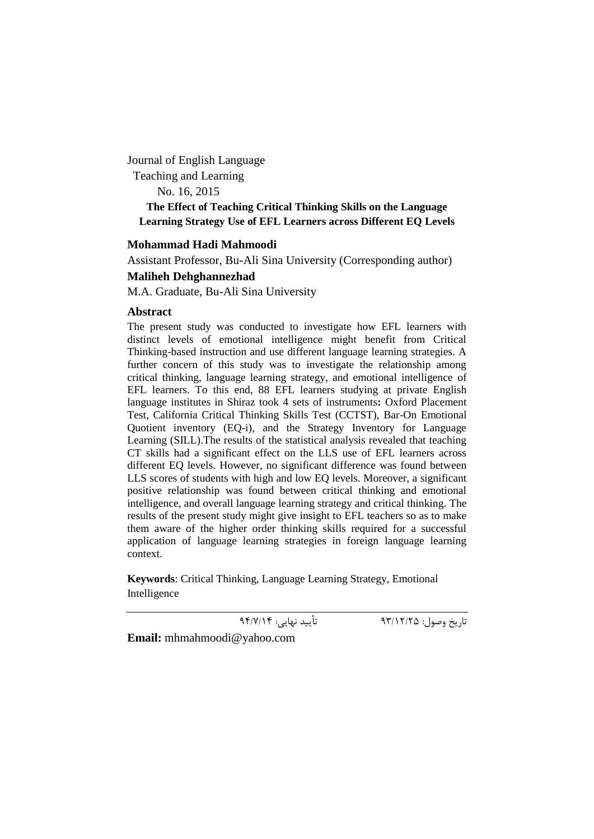Journal of English Language Teaching and Learning No. 16, 2015 **The Effect of Teaching Critical Thinking Skills on the Language Learning Strategy Use of EFL Learners across Different EQ Levels**

## **Mohammad Hadi Mahmoodi**

Assistant Professor, Bu-Ali Sina University (Corresponding author)

**Maliheh Dehghannezhad**

M.A. Graduate, Bu-Ali Sina University

## **Abstract**

The present study was conducted to investigate how EFL learners with distinct levels of emotional intelligence might benefit from Critical Thinking-based instruction and use different language learning strategies. A further concern of this study was to investigate the relationship among critical thinking, language learning strategy, and emotional intelligence of EFL learners. To this end, 88 EFL learners studying at private English language institutes in Shiraz took 4 sets of instruments**:** Oxford Placement Test, California Critical Thinking Skills Test (CCTST), Bar-On Emotional Quotient inventory (EQ-i), and the Strategy Inventory for Language Learning (SILL).The results of the statistical analysis revealed that teaching CT skills had a significant effect on the LLS use of EFL learners across different EQ levels. However, no significant difference was found between LLS scores of students with high and low EQ levels. Moreover, a significant positive relationship was found between critical thinking and emotional intelligence, and overall language learning strategy and critical thinking. The results of the present study might give insight to EFL teachers so as to make them aware of the higher order thinking skills required for a successful application of language learning strategies in foreign language learning context.

**Keywords**: Critical Thinking, Language Learning Strategy, Emotional Intelligence

تاریخ وصول: 93/12/25 تأیید نهایی: 94/7/14

**Email:** mhmahmoodi@yahoo.com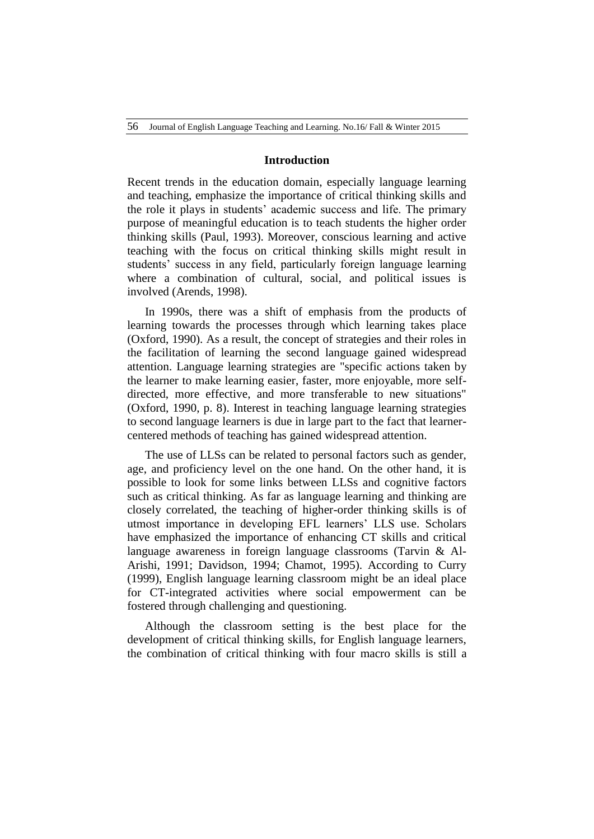#### **Introduction**

Recent trends in the education domain, especially language learning and teaching, emphasize the importance of critical thinking skills and the role it plays in students' academic success and life. The primary purpose of meaningful education is to teach students the higher order thinking skills (Paul, 1993). Moreover, conscious learning and active teaching with the focus on critical thinking skills might result in students' success in any field, particularly foreign language learning where a combination of cultural, social, and political issues is involved (Arends, 1998).

In 1990s, there was a shift of emphasis from the products of learning towards the processes through which learning takes place (Oxford, 1990). As a result, the concept of strategies and their roles in the facilitation of learning the second language gained widespread attention. Language learning strategies are "specific actions taken by the learner to make learning easier, faster, more enjoyable, more selfdirected, more effective, and more transferable to new situations" (Oxford, 1990, p. 8). Interest in teaching language learning strategies to second language learners is due in large part to the fact that learnercentered methods of teaching has gained widespread attention.

The use of LLSs can be related to personal factors such as gender, age, and proficiency level on the one hand. On the other hand, it is possible to look for some links between LLSs and cognitive factors such as critical thinking. As far as language learning and thinking are closely correlated, the teaching of higher-order thinking skills is of utmost importance in developing EFL learners' LLS use. Scholars have emphasized the importance of enhancing CT skills and critical language awareness in foreign language classrooms (Tarvin & Al-Arishi, 1991; Davidson, 1994; Chamot, 1995). According to Curry (1999), English language learning classroom might be an ideal place for CT-integrated activities where social empowerment can be fostered through challenging and questioning.

Although the classroom setting is the best place for the development of critical thinking skills, for English language learners, the combination of critical thinking with four macro skills is still a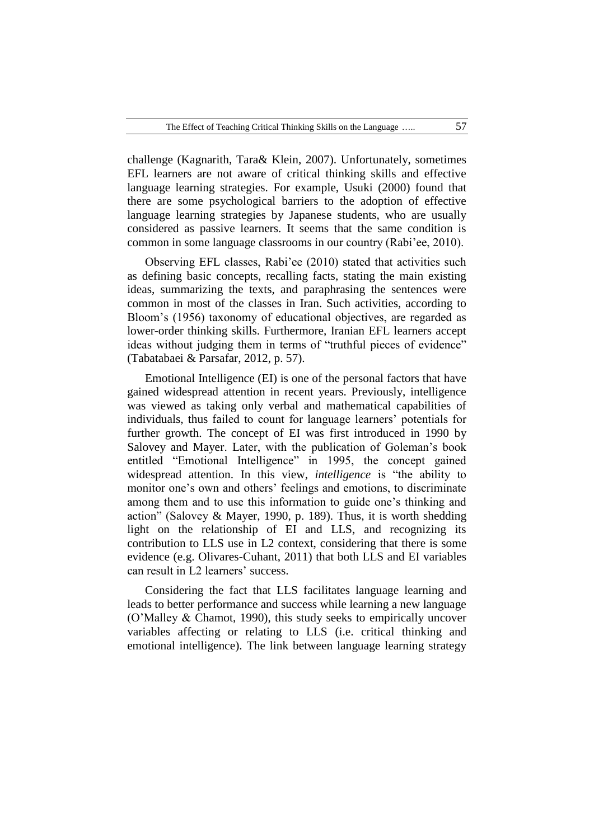challenge (Kagnarith, Tara& Klein, 2007). Unfortunately, sometimes EFL learners are not aware of critical thinking skills and effective language learning strategies. For example, Usuki (2000) found that there are some psychological barriers to the adoption of effective language learning strategies by Japanese students, who are usually considered as passive learners. It seems that the same condition is common in some language classrooms in our country (Rabi'ee, 2010).

Observing EFL classes, Rabi'ee (2010) stated that activities such as defining basic concepts, recalling facts, stating the main existing ideas, summarizing the texts, and paraphrasing the sentences were common in most of the classes in Iran. Such activities, according to Bloom's (1956) taxonomy of educational objectives, are regarded as lower-order thinking skills. Furthermore, Iranian EFL learners accept ideas without judging them in terms of "truthful pieces of evidence" (Tabatabaei & Parsafar, 2012, p. 57).

Emotional Intelligence (EI) is one of the personal factors that have gained widespread attention in recent years. Previously, intelligence was viewed as taking only verbal and mathematical capabilities of individuals, thus failed to count for language learners' potentials for further growth. The concept of EI was first introduced in 1990 by Salovey and Mayer. Later, with the publication of Goleman's book entitled "Emotional Intelligence" in 1995, the concept gained widespread attention. In this view, *intelligence* is "the ability to monitor one's own and others' feelings and emotions, to discriminate among them and to use this information to guide one's thinking and action" (Salovey & Mayer, 1990, p. 189). Thus, it is worth shedding light on the relationship of EI and LLS, and recognizing its contribution to LLS use in L2 context, considering that there is some evidence (e.g. Olivares-Cuhant, 2011) that both LLS and EI variables can result in L2 learners' success.

Considering the fact that LLS facilitates language learning and leads to better performance and success while learning a new language (O'Malley & Chamot, 1990), this study seeks to empirically uncover variables affecting or relating to LLS (i.e. critical thinking and emotional intelligence). The link between language learning strategy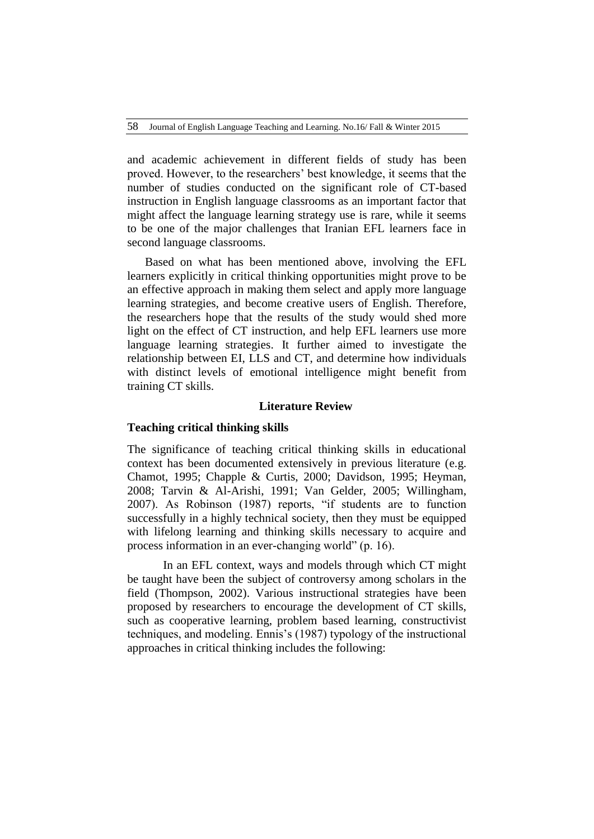58 Journal of English Language Teaching and Learning. No.16/ Fall & Winter 2015

and academic achievement in different fields of study has been proved. However, to the researchers' best knowledge, it seems that the number of studies conducted on the significant role of CT-based instruction in English language classrooms as an important factor that might affect the language learning strategy use is rare, while it seems to be one of the major challenges that Iranian EFL learners face in second language classrooms.

Based on what has been mentioned above, involving the EFL learners explicitly in critical thinking opportunities might prove to be an effective approach in making them select and apply more language learning strategies, and become creative users of English. Therefore, the researchers hope that the results of the study would shed more light on the effect of CT instruction, and help EFL learners use more language learning strategies. It further aimed to investigate the relationship between EI, LLS and CT, and determine how individuals with distinct levels of emotional intelligence might benefit from training CT skills.

#### **Literature Review**

#### **Teaching critical thinking skills**

The significance of teaching critical thinking skills in educational context has been documented extensively in previous literature (e.g. Chamot, 1995; Chapple & Curtis, 2000; Davidson, 1995; Heyman, 2008; Tarvin & Al-Arishi, 1991; Van Gelder, 2005; Willingham, 2007). As Robinson (1987) reports, "if students are to function successfully in a highly technical society, then they must be equipped with lifelong learning and thinking skills necessary to acquire and process information in an ever-changing world" (p. 16).

In an EFL context, ways and models through which CT might be taught have been the subject of controversy among scholars in the field (Thompson, 2002). Various instructional strategies have been proposed by researchers to encourage the development of CT skills, such as cooperative learning, problem based learning, constructivist techniques, and modeling. Ennis's (1987) typology of the instructional approaches in critical thinking includes the following: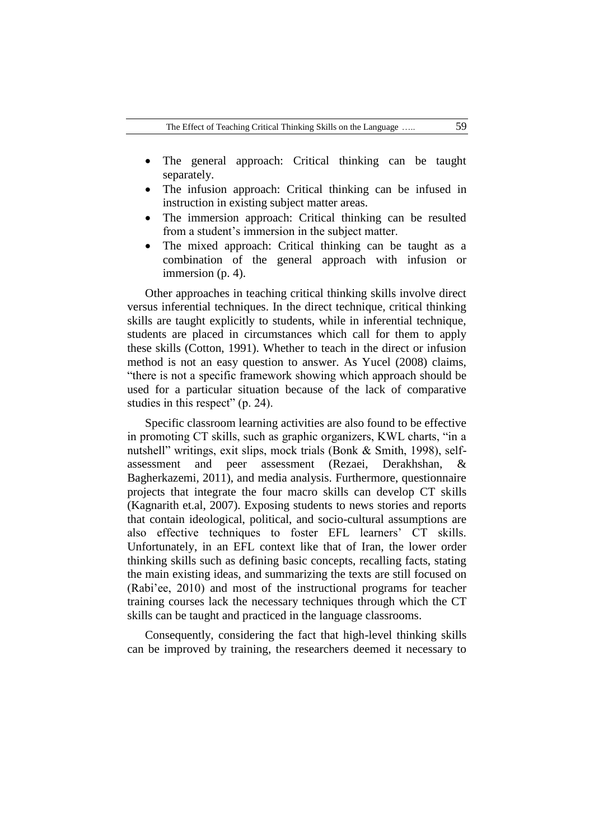- The general approach: Critical thinking can be taught separately.
- The infusion approach: Critical thinking can be infused in instruction in existing subject matter areas.
- The immersion approach: Critical thinking can be resulted from a student's immersion in the subject matter.
- The mixed approach: Critical thinking can be taught as a combination of the general approach with infusion or immersion (p. 4).

Other approaches in teaching critical thinking skills involve direct versus inferential techniques. In the direct technique, critical thinking skills are taught explicitly to students, while in inferential technique, students are placed in circumstances which call for them to apply these skills (Cotton, 1991). Whether to teach in the direct or infusion method is not an easy question to answer. As Yucel (2008) claims, "there is not a specific framework showing which approach should be used for a particular situation because of the lack of comparative studies in this respect" (p. 24).

Specific classroom learning activities are also found to be effective in promoting CT skills, such as graphic organizers, KWL charts, "in a nutshell" writings, exit slips, mock trials (Bonk & Smith, 1998), selfassessment and peer assessment (Rezaei, Derakhshan, & Bagherkazemi, 2011), and media analysis. Furthermore, questionnaire projects that integrate the four macro skills can develop CT skills (Kagnarith et.al, 2007). Exposing students to news stories and reports that contain ideological, political, and socio-cultural assumptions are also effective techniques to foster EFL learners' CT skills. Unfortunately, in an EFL context like that of Iran, the lower order thinking skills such as defining basic concepts, recalling facts, stating the main existing ideas, and summarizing the texts are still focused on (Rabi'ee, 2010) and most of the instructional programs for teacher training courses lack the necessary techniques through which the CT skills can be taught and practiced in the language classrooms.

Consequently, considering the fact that high-level thinking skills can be improved by training, the researchers deemed it necessary to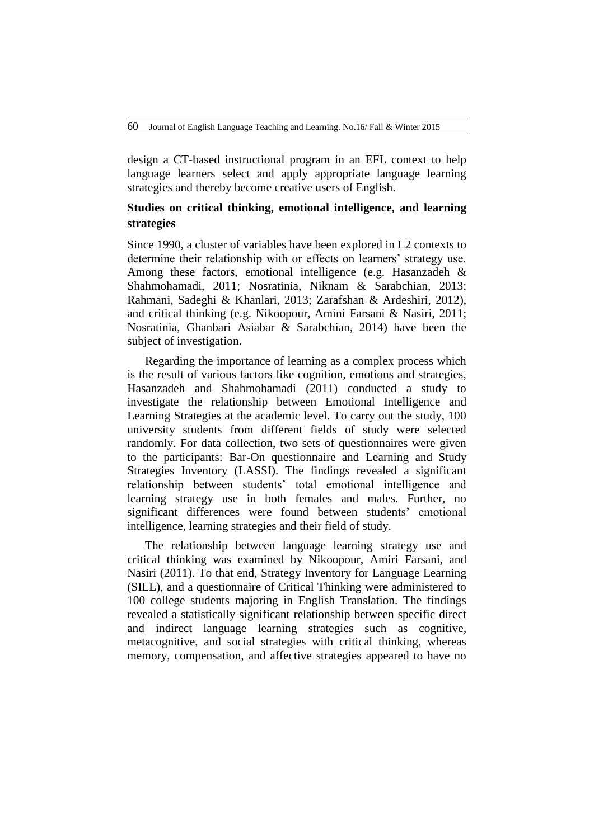design a CT-based instructional program in an EFL context to help language learners select and apply appropriate language learning strategies and thereby become creative users of English.

# **Studies on critical thinking, emotional intelligence, and learning strategies**

Since 1990, a cluster of variables have been explored in L2 contexts to determine their relationship with or effects on learners' strategy use. Among these factors, emotional intelligence (e.g. Hasanzadeh & Shahmohamadi, 2011; Nosratinia, Niknam & Sarabchian, 2013; Rahmani, Sadeghi & Khanlari, 2013; Zarafshan & Ardeshiri, 2012), and critical thinking (e.g. Nikoopour, Amini Farsani & Nasiri, 2011; Nosratinia, Ghanbari Asiabar & Sarabchian, 2014) have been the subject of investigation.

Regarding the importance of learning as a complex process which is the result of various factors like cognition, emotions and strategies, Hasanzadeh and Shahmohamadi (2011) conducted a study to investigate the relationship between Emotional Intelligence and Learning Strategies at the academic level. To carry out the study, 100 university students from different fields of study were selected randomly. For data collection, two sets of questionnaires were given to the participants: Bar-On questionnaire and Learning and Study Strategies Inventory (LASSI). The findings revealed a significant relationship between students' total emotional intelligence and learning strategy use in both females and males. Further, no significant differences were found between students' emotional intelligence, learning strategies and their field of study.

The relationship between language learning strategy use and critical thinking was examined by Nikoopour, Amiri Farsani, and Nasiri (2011). To that end, Strategy Inventory for Language Learning (SILL), and a questionnaire of Critical Thinking were administered to 100 college students majoring in English Translation. The findings revealed a statistically significant relationship between specific direct and indirect language learning strategies such as cognitive, metacognitive, and social strategies with critical thinking, whereas memory, compensation, and affective strategies appeared to have no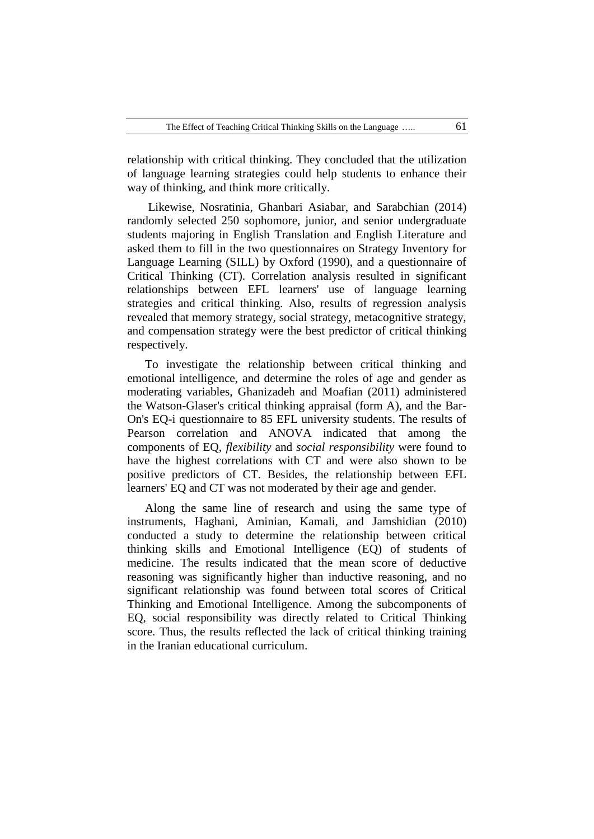relationship with critical thinking. They concluded that the utilization of language learning strategies could help students to enhance their way of thinking, and think more critically.

Likewise, Nosratinia, Ghanbari Asiabar, and Sarabchian (2014) randomly selected 250 sophomore, junior, and senior undergraduate students majoring in English Translation and English Literature and asked them to fill in the two questionnaires on Strategy Inventory for Language Learning (SILL) by Oxford (1990), and a questionnaire of Critical Thinking (CT). Correlation analysis resulted in significant relationships between EFL learners' use of language learning strategies and critical thinking. Also, results of regression analysis revealed that memory strategy, social strategy, metacognitive strategy, and compensation strategy were the best predictor of critical thinking respectively.

To investigate the relationship between critical thinking and emotional intelligence, and determine the roles of age and gender as moderating variables, Ghanizadeh and Moafian (2011) administered the Watson-Glaser's critical thinking appraisal (form A), and the Bar-On's EQ-i questionnaire to 85 EFL university students. The results of Pearson correlation and ANOVA indicated that among the components of EQ, *flexibility* and *social responsibility* were found to have the highest correlations with CT and were also shown to be positive predictors of CT. Besides, the relationship between EFL learners' EQ and CT was not moderated by their age and gender.

Along the same line of research and using the same type of instruments, Haghani, Aminian, Kamali, and Jamshidian (2010) conducted a study to determine the relationship between critical thinking skills and Emotional Intelligence (EQ) of students of medicine. The results indicated that the mean score of deductive reasoning was significantly higher than inductive reasoning, and no significant relationship was found between total scores of Critical Thinking and Emotional Intelligence. Among the subcomponents of EQ, social responsibility was directly related to Critical Thinking score. Thus, the results reflected the lack of critical thinking training in the Iranian educational curriculum.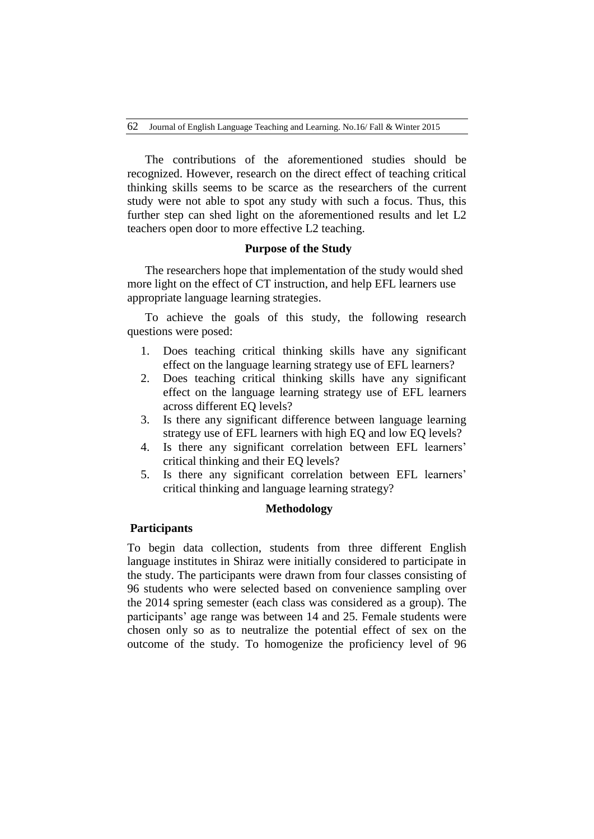The contributions of the aforementioned studies should be recognized. However, research on the direct effect of teaching critical thinking skills seems to be scarce as the researchers of the current study were not able to spot any study with such a focus. Thus, this further step can shed light on the aforementioned results and let L2 teachers open door to more effective L2 teaching.

## **Purpose of the Study**

The researchers hope that implementation of the study would shed more light on the effect of CT instruction, and help EFL learners use appropriate language learning strategies.

To achieve the goals of this study, the following research questions were posed:

- 1. Does teaching critical thinking skills have any significant effect on the language learning strategy use of EFL learners?
- 2. Does teaching critical thinking skills have any significant effect on the language learning strategy use of EFL learners across different EQ levels?
- 3. Is there any significant difference between language learning strategy use of EFL learners with high EQ and low EQ levels?
- 4. Is there any significant correlation between EFL learners' critical thinking and their EQ levels?
- 5. Is there any significant correlation between EFL learners' critical thinking and language learning strategy?

### **Methodology**

## **Participants**

To begin data collection, students from three different English language institutes in Shiraz were initially considered to participate in the study. The participants were drawn from four classes consisting of 96 students who were selected based on convenience sampling over the 2014 spring semester (each class was considered as a group). The participants' age range was between 14 and 25. Female students were chosen only so as to neutralize the potential effect of sex on the outcome of the study. To homogenize the proficiency level of 96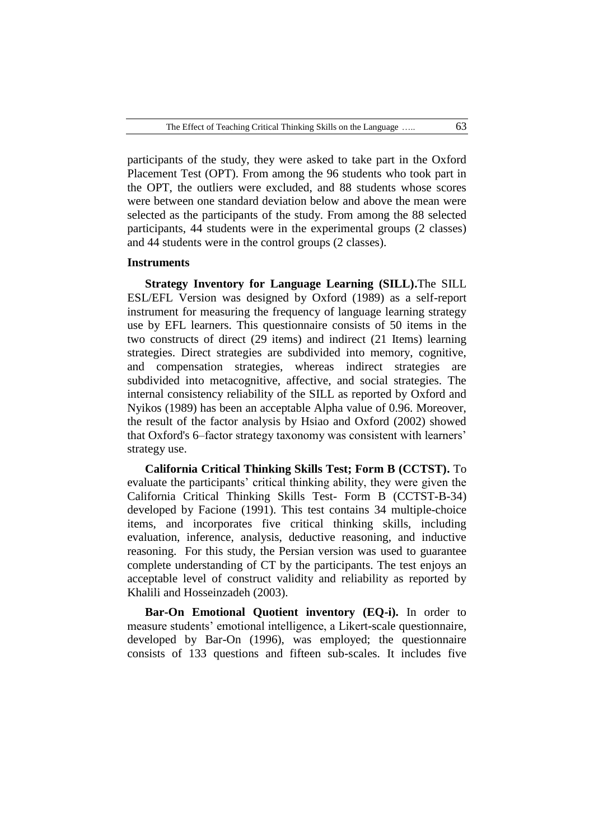participants of the study, they were asked to take part in the Oxford Placement Test (OPT). From among the 96 students who took part in the OPT, the outliers were excluded, and 88 students whose scores were between one standard deviation below and above the mean were selected as the participants of the study. From among the 88 selected participants, 44 students were in the experimental groups (2 classes) and 44 students were in the control groups (2 classes).

#### **Instruments**

**Strategy Inventory for Language Learning (SILL).**The SILL ESL/EFL Version was designed by Oxford (1989) as a self-report instrument for measuring the frequency of language learning strategy use by EFL learners. This questionnaire consists of 50 items in the two constructs of direct (29 items) and indirect (21 Items) learning strategies. Direct strategies are subdivided into memory, cognitive, and compensation strategies, whereas indirect strategies are subdivided into metacognitive, affective, and social strategies. The internal consistency reliability of the SILL as reported by Oxford and Nyikos (1989) has been an acceptable Alpha value of 0.96. Moreover, the result of the factor analysis by Hsiao and Oxford (2002) showed that Oxford's 6–factor strategy taxonomy was consistent with learners' strategy use.

**California Critical Thinking Skills Test; Form B (CCTST).** To evaluate the participants' critical thinking ability, they were given the California Critical Thinking Skills Test- Form B (CCTST-B-34) developed by Facione (1991). This test contains 34 multiple-choice items, and incorporates five critical thinking skills, including evaluation, inference, analysis, deductive reasoning, and inductive reasoning. For this study, the Persian version was used to guarantee complete understanding of CT by the participants. The test enjoys an acceptable level of construct validity and reliability as reported by Khalili and Hosseinzadeh (2003).

**Bar-On Emotional Quotient inventory (EQ-i).** In order to measure students' emotional intelligence, a Likert-scale questionnaire, developed by Bar-On (1996), was employed; the questionnaire consists of 133 questions and fifteen sub-scales. It includes five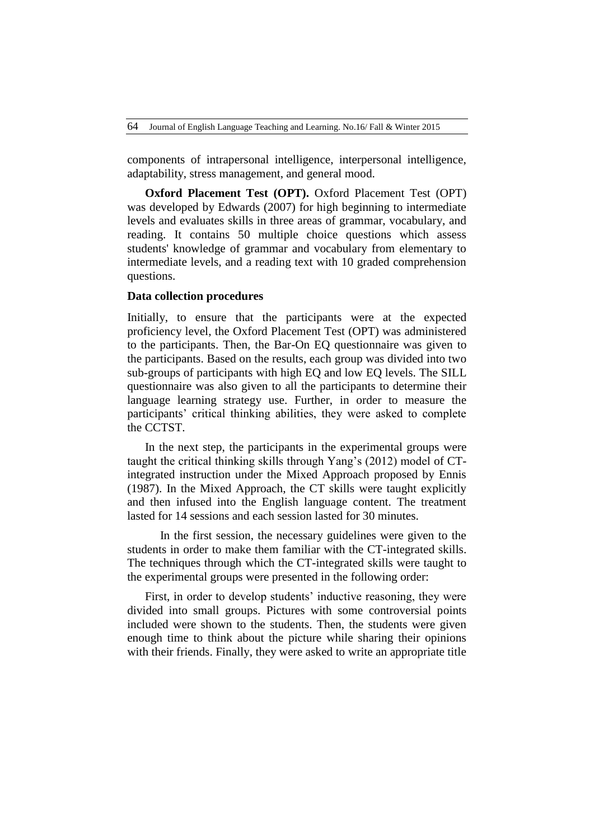components of intrapersonal intelligence, interpersonal intelligence, adaptability, stress management, and general mood.

**Oxford Placement Test (OPT).** Oxford Placement Test (OPT) was developed by Edwards (2007) for high beginning to intermediate levels and evaluates skills in three areas of grammar, vocabulary, and reading. It contains 50 multiple choice questions which assess students' knowledge of grammar and vocabulary from elementary to intermediate levels, and a reading text with 10 graded comprehension questions.

#### **Data collection procedures**

Initially, to ensure that the participants were at the expected proficiency level, the Oxford Placement Test (OPT) was administered to the participants. Then, the Bar-On EQ questionnaire was given to the participants. Based on the results, each group was divided into two sub-groups of participants with high EQ and low EQ levels. The SILL questionnaire was also given to all the participants to determine their language learning strategy use. Further, in order to measure the participants' critical thinking abilities, they were asked to complete the CCTST.

In the next step, the participants in the experimental groups were taught the critical thinking skills through Yang's (2012) model of CTintegrated instruction under the Mixed Approach proposed by Ennis (1987). In the Mixed Approach, the CT skills were taught explicitly and then infused into the English language content. The treatment lasted for 14 sessions and each session lasted for 30 minutes.

 In the first session, the necessary guidelines were given to the students in order to make them familiar with the CT-integrated skills. The techniques through which the CT-integrated skills were taught to the experimental groups were presented in the following order:

First, in order to develop students' inductive reasoning, they were divided into small groups. Pictures with some controversial points included were shown to the students. Then, the students were given enough time to think about the picture while sharing their opinions with their friends. Finally, they were asked to write an appropriate title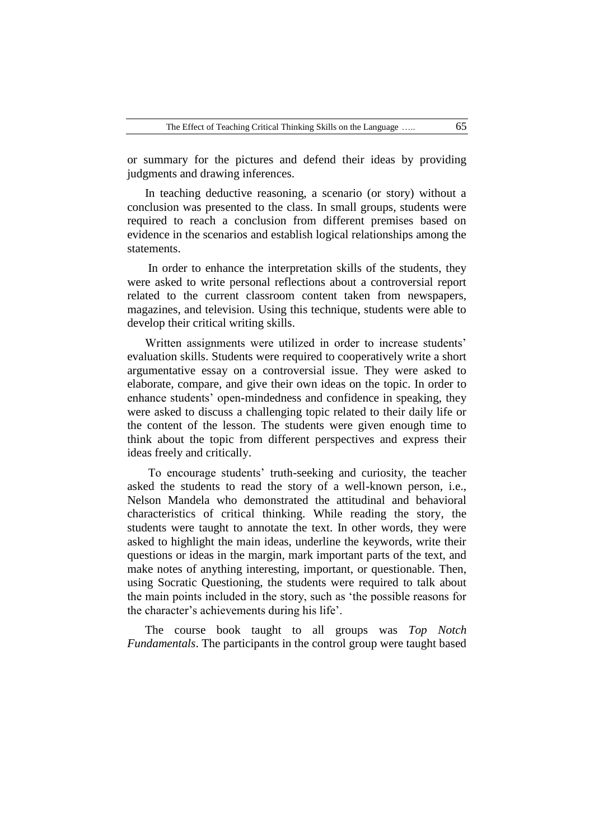or summary for the pictures and defend their ideas by providing judgments and drawing inferences.

In teaching deductive reasoning, a scenario (or story) without a conclusion was presented to the class. In small groups, students were required to reach a conclusion from different premises based on evidence in the scenarios and establish logical relationships among the statements.

In order to enhance the interpretation skills of the students, they were asked to write personal reflections about a controversial report related to the current classroom content taken from newspapers, magazines, and television. Using this technique, students were able to develop their critical writing skills.

Written assignments were utilized in order to increase students' evaluation skills. Students were required to cooperatively write a short argumentative essay on a controversial issue. They were asked to elaborate, compare, and give their own ideas on the topic. In order to enhance students' open-mindedness and confidence in speaking, they were asked to discuss a challenging topic related to their daily life or the content of the lesson. The students were given enough time to think about the topic from different perspectives and express their ideas freely and critically.

To encourage students' truth-seeking and curiosity, the teacher asked the students to read the story of a well-known person, i.e., Nelson Mandela who demonstrated the attitudinal and behavioral characteristics of critical thinking. While reading the story, the students were taught to annotate the text. In other words, they were asked to highlight the main ideas, underline the keywords, write their questions or ideas in the margin, mark important parts of the text, and make notes of anything interesting, important, or questionable. Then, using Socratic Questioning, the students were required to talk about the main points included in the story, such as 'the possible reasons for the character's achievements during his life'.

The course book taught to all groups was *Top Notch Fundamentals*. The participants in the control group were taught based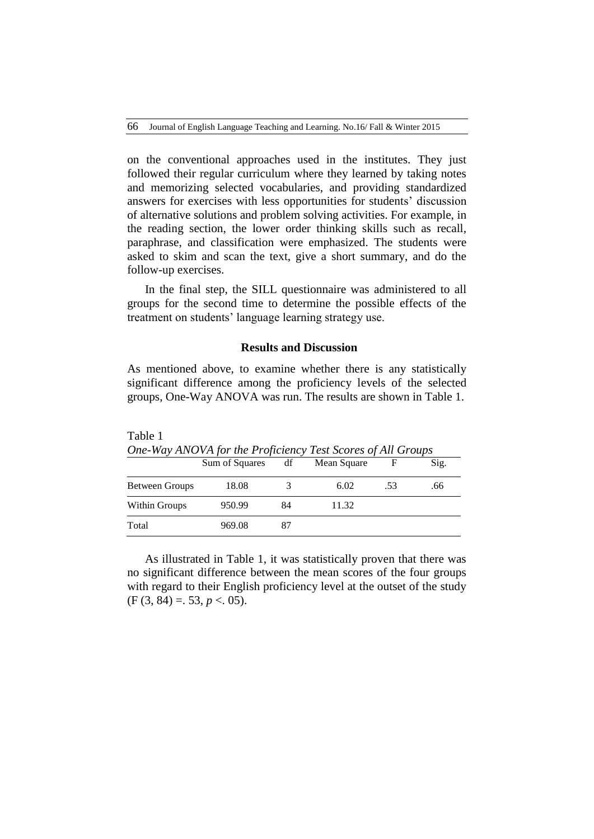on the conventional approaches used in the institutes. They just followed their regular curriculum where they learned by taking notes and memorizing selected vocabularies, and providing standardized answers for exercises with less opportunities for students' discussion of alternative solutions and problem solving activities. For example, in the reading section, the lower order thinking skills such as recall, paraphrase, and classification were emphasized. The students were asked to skim and scan the text, give a short summary, and do the follow-up exercises.

In the final step, the SILL questionnaire was administered to all groups for the second time to determine the possible effects of the treatment on students' language learning strategy use.

## **Results and Discussion**

As mentioned above, to examine whether there is any statistically significant difference among the proficiency levels of the selected groups, One-Way ANOVA was run. The results are shown in Table 1.

| One-Way ANOVA for the Proficiency Test Scores of All Groups |                |    |             |     |      |  |  |  |  |
|-------------------------------------------------------------|----------------|----|-------------|-----|------|--|--|--|--|
|                                                             | Sum of Squares | df | Mean Square |     | Sig. |  |  |  |  |
| <b>Between Groups</b>                                       | 18.08          |    | 6.02        | .53 | .66  |  |  |  |  |
| Within Groups                                               | 950.99         | 84 | 11.32       |     |      |  |  |  |  |
| Total                                                       | 969.08         |    |             |     |      |  |  |  |  |

Table 1 *One-Way ANOVA for the Proficiency Test Scores of All Groups*

As illustrated in Table 1, it was statistically proven that there was no significant difference between the mean scores of the four groups with regard to their English proficiency level at the outset of the study  $(F (3, 84) = 53, p < 05).$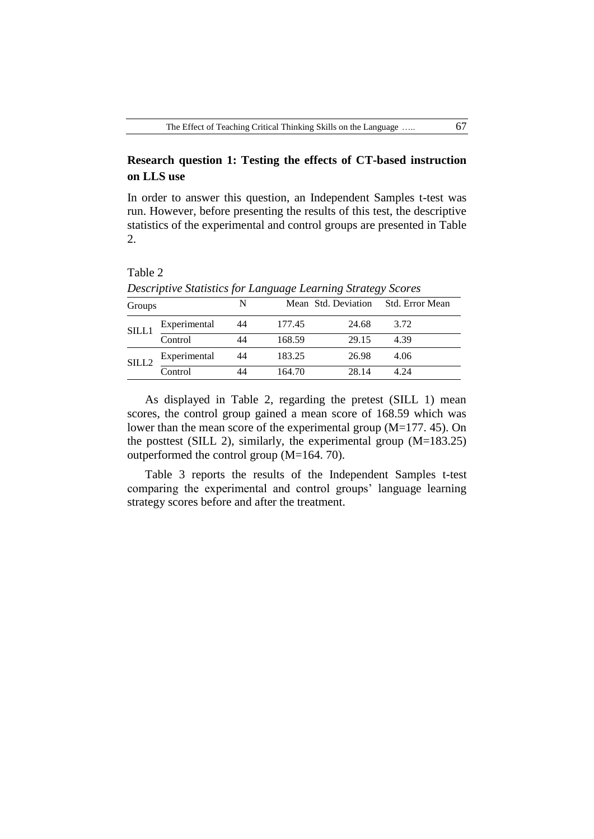# **Research question 1: Testing the effects of CT-based instruction on LLS use**

In order to answer this question, an Independent Samples t-test was run. However, before presenting the results of this test, the descriptive statistics of the experimental and control groups are presented in Table 2.

| Groups            |              | N  |        |       | Mean Std. Deviation Std. Error Mean |  |  |  |
|-------------------|--------------|----|--------|-------|-------------------------------------|--|--|--|
| SILL1             | Experimental | 44 | 177.45 | 24.68 | 3.72                                |  |  |  |
|                   | Control      | 44 | 168.59 | 29.15 | 4.39                                |  |  |  |
| SILL <sub>2</sub> | Experimental | 44 | 183.25 | 26.98 | 4.06                                |  |  |  |
|                   | Control      |    | 164.70 | 28.14 |                                     |  |  |  |

*Descriptive Statistics for Language Learning Strategy Scores*

As displayed in Table 2, regarding the pretest (SILL 1) mean scores, the control group gained a mean score of 168.59 which was lower than the mean score of the experimental group (M=177. 45). On the posttest (SILL 2), similarly, the experimental group (M=183.25) outperformed the control group (M=164. 70).

Table 3 reports the results of the Independent Samples t-test comparing the experimental and control groups' language learning strategy scores before and after the treatment.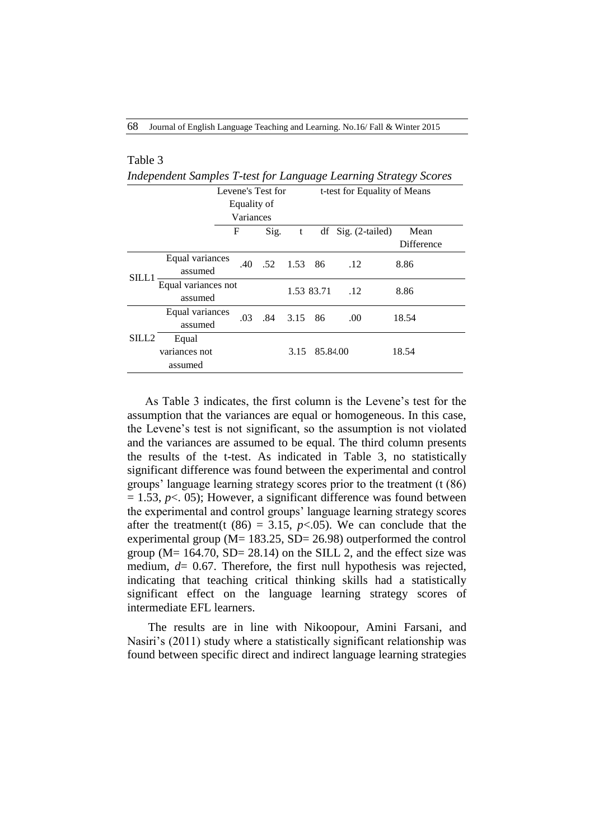| Table 3                                                          |                                |   |             |                   |      |            |                              |                   |  |
|------------------------------------------------------------------|--------------------------------|---|-------------|-------------------|------|------------|------------------------------|-------------------|--|
| Independent Samples T-test for Language Learning Strategy Scores |                                |   |             |                   |      |            |                              |                   |  |
|                                                                  |                                |   |             | Levene's Test for |      |            | t-test for Equality of Means |                   |  |
|                                                                  |                                |   | Equality of |                   |      |            |                              |                   |  |
|                                                                  |                                |   | Variances   |                   |      |            |                              |                   |  |
|                                                                  |                                | F |             | Sig.              | t    | df         | Sig. (2-tailed)              | Mean              |  |
|                                                                  |                                |   |             |                   |      |            |                              | <b>Difference</b> |  |
|                                                                  | Equal variances<br>assumed     |   | .40         | .52               | 1.53 | 86         | .12                          | 8.86              |  |
| SILL1                                                            | Equal variances not<br>assumed |   |             |                   |      | 1.53 83.71 | .12                          | 8.86              |  |
|                                                                  | Equal variances<br>assumed     |   | .03         | .84               | 3.15 | 86         | .00.                         | 18.54             |  |
| SILL2                                                            | Equal                          |   |             |                   |      |            |                              |                   |  |
|                                                                  | variances not                  |   |             |                   | 3.15 | 85.84.00   |                              | 18.54             |  |
|                                                                  | assumed                        |   |             |                   |      |            |                              |                   |  |

As Table 3 indicates, the first column is the Levene's test for the assumption that the variances are equal or homogeneous. In this case, the Levene's test is not significant, so the assumption is not violated and the variances are assumed to be equal. The third column presents the results of the t-test. As indicated in Table 3, no statistically significant difference was found between the experimental and control groups' language learning strategy scores prior to the treatment (t (86)  $= 1.53$ ,  $p < 0.05$ ); However, a significant difference was found between the experimental and control groups' language learning strategy scores after the treatment(t  $(86) = 3.15$ ,  $p < .05$ ). We can conclude that the experimental group (M= 183.25, SD= 26.98) outperformed the control group ( $M = 164.70$ ,  $SD = 28.14$ ) on the SILL 2, and the effect size was medium, *d*= 0.67. Therefore, the first null hypothesis was rejected, indicating that teaching critical thinking skills had a statistically significant effect on the language learning strategy scores of intermediate EFL learners.

The results are in line with Nikoopour, Amini Farsani, and Nasiri's (2011) study where a statistically significant relationship was found between specific direct and indirect language learning strategies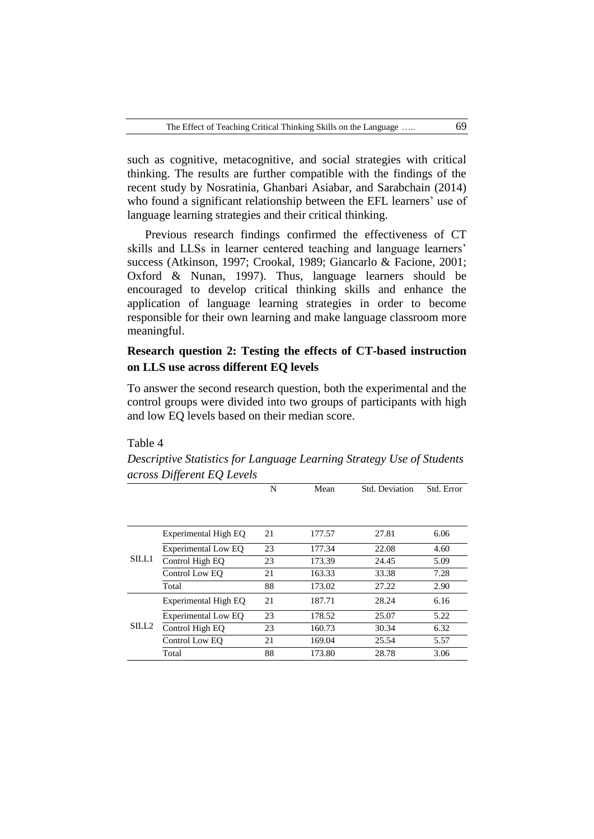such as cognitive, metacognitive, and social strategies with critical thinking. The results are further compatible with the findings of the recent study by Nosratinia, Ghanbari Asiabar, and Sarabchain (2014) who found a significant relationship between the EFL learners' use of language learning strategies and their critical thinking.

Previous research findings confirmed the effectiveness of CT skills and LLSs in learner centered teaching and language learners' success (Atkinson, 1997; Crookal, 1989; Giancarlo & Facione, 2001; Oxford & Nunan, 1997). Thus, language learners should be encouraged to develop critical thinking skills and enhance the application of language learning strategies in order to become responsible for their own learning and make language classroom more meaningful.

# **Research question 2: Testing the effects of CT-based instruction on LLS use across different EQ levels**

To answer the second research question, both the experimental and the control groups were divided into two groups of participants with high and low EQ levels based on their median score.

#### Table 4

*Descriptive Statistics for Language Learning Strategy Use of Students across Different EQ Levels*

|                   |                      | N  | Mean   | Std. Deviation | Std. Error |
|-------------------|----------------------|----|--------|----------------|------------|
|                   |                      |    |        |                |            |
|                   | Experimental High EO | 21 | 177.57 | 27.81          | 6.06       |
|                   | Experimental Low EQ  | 23 | 177.34 | 22.08          | 4.60       |
| SILL1             | Control High EQ      | 23 | 173.39 | 24.45          | 5.09       |
|                   | Control Low EO       | 21 | 163.33 | 33.38          | 7.28       |
|                   | Total                | 88 | 173.02 | 27.22          | 2.90       |
|                   | Experimental High EQ | 21 | 187.71 | 28.24          | 6.16       |
|                   | Experimental Low EO  | 23 | 178.52 | 25.07          | 5.22       |
| SILL <sub>2</sub> | Control High EO      | 23 | 160.73 | 30.34          | 6.32       |
|                   | Control Low EO       | 21 | 169.04 | 25.54          | 5.57       |
|                   | Total                | 88 | 173.80 | 28.78          | 3.06       |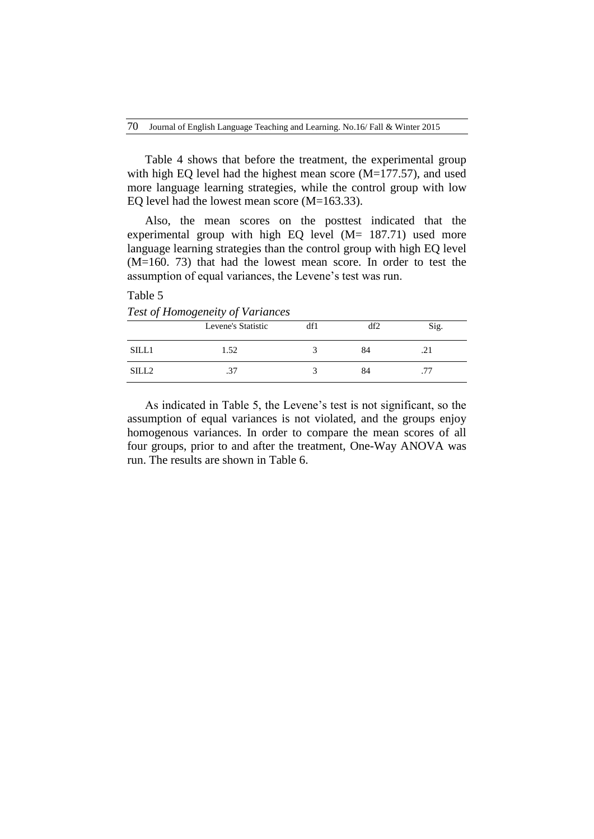Table 4 shows that before the treatment, the experimental group with high EQ level had the highest mean score (M=177.57), and used more language learning strategies, while the control group with low EQ level had the lowest mean score (M=163.33).

Also, the mean scores on the posttest indicated that the experimental group with high EQ level  $(M= 187.71)$  used more language learning strategies than the control group with high EQ level (M=160. 73) that had the lowest mean score. In order to test the assumption of equal variances, the Levene's test was run.

Table 5 *Test of Homogeneity of Variances*

|                   | Levene's Statistic | df1 | df2 | Sig. |
|-------------------|--------------------|-----|-----|------|
| SILL1             | 1.52               |     | 84  | .∠1  |
| SILL <sub>2</sub> | ا ل                |     | 84  | .77  |

As indicated in Table 5, the Levene's test is not significant, so the assumption of equal variances is not violated, and the groups enjoy homogenous variances. In order to compare the mean scores of all four groups, prior to and after the treatment, One-Way ANOVA was run. The results are shown in Table 6.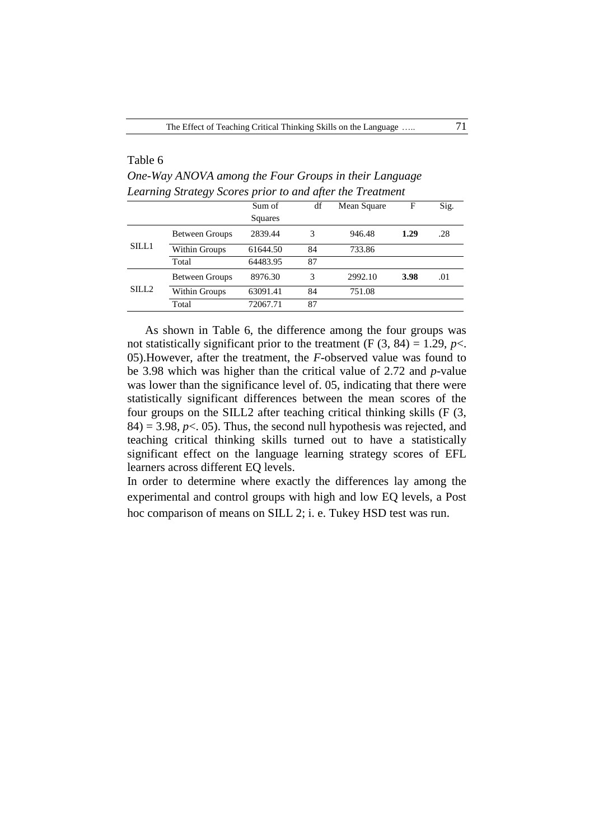## Table 6

*One-Way ANOVA among the Four Groups in their Language Learning Strategy Scores prior to and after the Treatment*

|                   |                       | Sum of   | df | Mean Square | F    | Sig. |
|-------------------|-----------------------|----------|----|-------------|------|------|
|                   |                       | Squares  |    |             |      |      |
|                   | <b>Between Groups</b> | 2839.44  | 3  | 946.48      | 1.29 | .28  |
| SILL1             | Within Groups         | 61644.50 | 84 | 733.86      |      |      |
|                   | Total                 | 64483.95 | 87 |             |      |      |
| SILL <sub>2</sub> | <b>Between Groups</b> | 8976.30  | 3  | 2992.10     | 3.98 | .01  |
|                   | Within Groups         | 63091.41 | 84 | 751.08      |      |      |
|                   | Total                 | 72067.71 | 87 |             |      |      |

As shown in Table 6, the difference among the four groups was not statistically significant prior to the treatment  $(F(3, 84) = 1.29, p<$ . 05).However, after the treatment, the *F*-observed value was found to be 3.98 which was higher than the critical value of 2.72 and *p*-value was lower than the significance level of. 05, indicating that there were statistically significant differences between the mean scores of the four groups on the SILL2 after teaching critical thinking skills (F (3,  $84$ ) = 3.98,  $p$  < 05). Thus, the second null hypothesis was rejected, and teaching critical thinking skills turned out to have a statistically significant effect on the language learning strategy scores of EFL learners across different EQ levels.

In order to determine where exactly the differences lay among the experimental and control groups with high and low EQ levels, a Post hoc comparison of means on SILL 2; i. e. Tukey HSD test was run.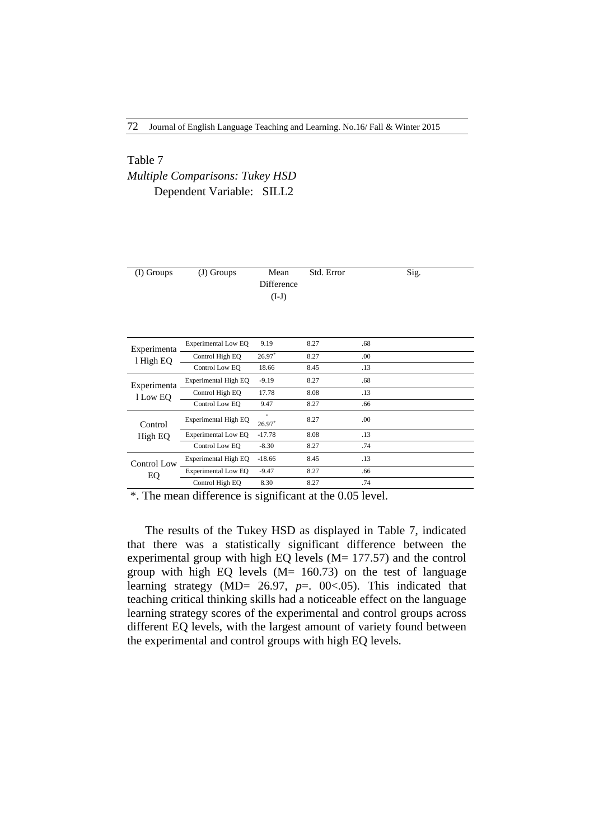# Table 7 *Multiple Comparisons: Tukey HSD* Dependent Variable: SILL2

| (I) Groups               | (J) Groups                 | Mean<br>Difference<br>$(I-J)$ | Std. Error |     | Sig. |
|--------------------------|----------------------------|-------------------------------|------------|-----|------|
| Experimenta<br>l High EQ | <b>Experimental Low EQ</b> | 9.19                          | 8.27       | .68 |      |
|                          | Control High EQ            | $26.97*$                      | 8.27       | .00 |      |
|                          | Control Low EO             | 18.66                         | 8.45       | .13 |      |
| Experimenta              | Experimental High EQ       | $-9.19$                       | 8.27       | .68 |      |
| 1 Low EQ                 | Control High EO            | 17.78                         | 8.08       | .13 |      |
|                          | Control Low EO             | 9.47                          | 8.27       | .66 |      |
| Control                  | Experimental High EQ       | $26.97*$                      | 8.27       | .00 |      |
| High EQ                  | <b>Experimental Low EQ</b> | $-17.78$                      | 8.08       | .13 |      |
|                          | Control Low EQ             | $-8.30$                       | 8.27       | .74 |      |
| Control Low              | Experimental High EQ       | $-18.66$                      | 8.45       | .13 |      |
| EQ                       | <b>Experimental Low EQ</b> | $-9.47$                       | 8.27       | .66 |      |
|                          | Control High EQ            | 8.30                          | 8.27       | .74 |      |

\*. The mean difference is significant at the 0.05 level.

The results of the Tukey HSD as displayed in Table 7, indicated that there was a statistically significant difference between the experimental group with high EQ levels (M= 177.57) and the control group with high EQ levels  $(M= 160.73)$  on the test of language learning strategy (MD= 26.97, *p*=. 00<.05). This indicated that teaching critical thinking skills had a noticeable effect on the language learning strategy scores of the experimental and control groups across different EQ levels, with the largest amount of variety found between the experimental and control groups with high EQ levels.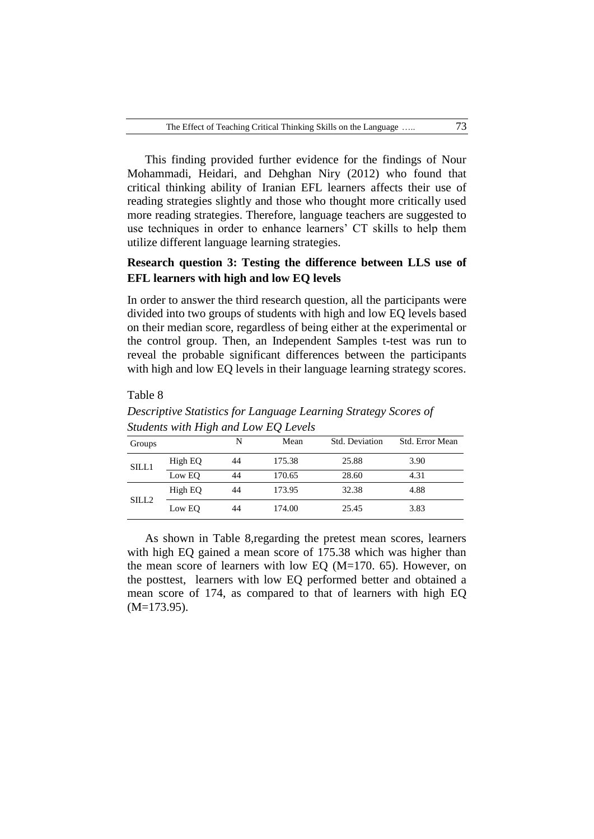This finding provided further evidence for the findings of Nour Mohammadi, Heidari, and Dehghan Niry (2012) who found that critical thinking ability of Iranian EFL learners affects their use of reading strategies slightly and those who thought more critically used more reading strategies. Therefore, language teachers are suggested to use techniques in order to enhance learners' CT skills to help them utilize different language learning strategies.

## **Research question 3: Testing the difference between LLS use of EFL learners with high and low EQ levels**

In order to answer the third research question, all the participants were divided into two groups of students with high and low EQ levels based on their median score, regardless of being either at the experimental or the control group. Then, an Independent Samples t-test was run to reveal the probable significant differences between the participants with high and low EQ levels in their language learning strategy scores.

## Table 8

| statents with High and Low LO Levels |         |    |        |                |                 |  |  |  |
|--------------------------------------|---------|----|--------|----------------|-----------------|--|--|--|
| Groups                               |         | N  | Mean   | Std. Deviation | Std. Error Mean |  |  |  |
| SILL1                                | High EQ | 44 | 175.38 | 25.88          | 3.90            |  |  |  |
|                                      | Low EQ  | 44 | 170.65 | 28.60          | 4.31            |  |  |  |
|                                      | High EQ | 44 | 173.95 | 32.38          | 4.88            |  |  |  |
| SILL <sub>2</sub>                    | Low EO  | 44 | 174.00 | 25.45          | 3.83            |  |  |  |

*Descriptive Statistics for Language Learning Strategy Scores of Students with High and Low EQ Levels*

As shown in Table 8,regarding the pretest mean scores, learners with high EQ gained a mean score of 175.38 which was higher than the mean score of learners with low EQ (M=170. 65). However, on the posttest, learners with low EQ performed better and obtained a mean score of 174, as compared to that of learners with high EQ (M=173.95).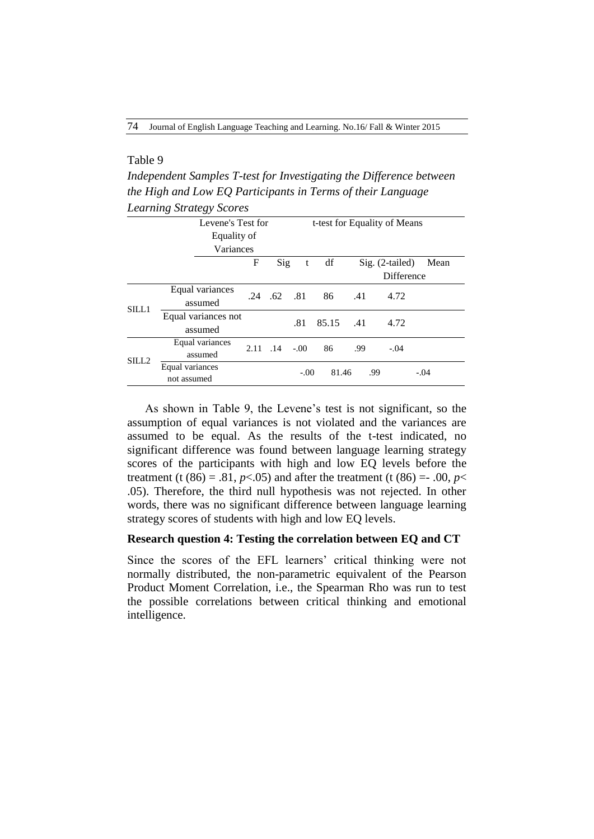## Table 9

*Independent Samples T-test for Investigating the Difference between the High and Low EQ Participants in Terms of their Language Learning Strategy Scores*

|                   | ັັ                             |          |                   |        |                              |     |                   |        |
|-------------------|--------------------------------|----------|-------------------|--------|------------------------------|-----|-------------------|--------|
|                   | Levene's Test for              |          |                   |        | t-test for Equality of Means |     |                   |        |
|                   | Equality of                    |          |                   |        |                              |     |                   |        |
|                   | Variances                      |          |                   |        |                              |     |                   |        |
|                   |                                | F        | Sig               | t      | df                           |     | $Sig. (2-tailed)$ | Mean   |
|                   |                                |          |                   |        |                              |     | Difference        |        |
| SILL1             | Equal variances<br>assumed     |          | $.24$ $.62$ $.81$ |        | 86                           | .41 | 4.72              |        |
|                   | Equal variances not<br>assumed |          |                   | .81    | 85.15                        | .41 | 4.72              |        |
| SILL <sub>2</sub> | Equal variances<br>assumed     | 2.11 .14 |                   | $-.00$ | 86                           | .99 | $-.04$            |        |
|                   | Equal variances<br>not assumed |          |                   | $-.00$ | 81.46                        | .99 |                   | $-.04$ |

As shown in Table 9, the Levene's test is not significant, so the assumption of equal variances is not violated and the variances are assumed to be equal. As the results of the t-test indicated, no significant difference was found between language learning strategy scores of the participants with high and low EQ levels before the treatment (t (86) = .81,  $p$ <.05) and after the treatment (t (86) = -.00,  $p$ < .05). Therefore, the third null hypothesis was not rejected. In other words, there was no significant difference between language learning strategy scores of students with high and low EQ levels.

## **Research question 4: Testing the correlation between EQ and CT**

Since the scores of the EFL learners' critical thinking were not normally distributed, the non-parametric equivalent of the Pearson Product Moment Correlation, i.e., the Spearman Rho was run to test the possible correlations between critical thinking and emotional intelligence.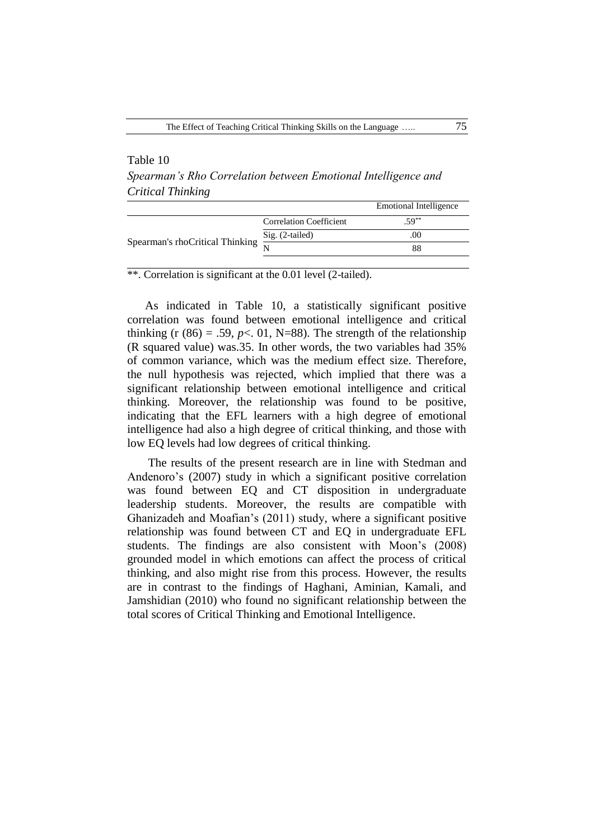## Table 10

*Spearman's Rho Correlation between Emotional Intelligence and Critical Thinking*

|                                 |                                | <b>Emotional Intelligence</b> |
|---------------------------------|--------------------------------|-------------------------------|
|                                 | <b>Correlation Coefficient</b> | $.59***$                      |
| Spearman's rhoCritical Thinking | Sig. (2-tailed)                | .00                           |
|                                 |                                | 88                            |
|                                 |                                |                               |

\*\*. Correlation is significant at the 0.01 level (2-tailed).

As indicated in Table 10, a statistically significant positive correlation was found between emotional intelligence and critical thinking (r  $(86) = .59$ ,  $p < .01$ , N=88). The strength of the relationship (R squared value) was.35. In other words, the two variables had 35% of common variance, which was the medium effect size. Therefore, the null hypothesis was rejected, which implied that there was a significant relationship between emotional intelligence and critical thinking. Moreover, the relationship was found to be positive, indicating that the EFL learners with a high degree of emotional intelligence had also a high degree of critical thinking, and those with low EQ levels had low degrees of critical thinking.

The results of the present research are in line with Stedman and Andenoro's (2007) study in which a significant positive correlation was found between EQ and CT disposition in undergraduate leadership students. Moreover, the results are compatible with Ghanizadeh and Moafian's (2011) study, where a significant positive relationship was found between CT and EQ in undergraduate EFL students. The findings are also consistent with Moon's (2008) grounded model in which emotions can affect the process of critical thinking, and also might rise from this process. However, the results are in contrast to the findings of Haghani, Aminian, Kamali, and Jamshidian (2010) who found no significant relationship between the total scores of Critical Thinking and Emotional Intelligence.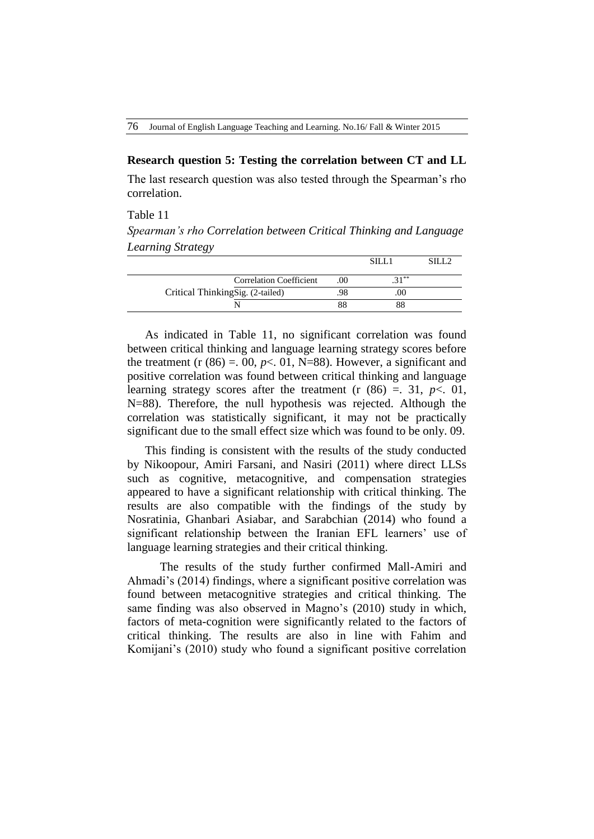76 Journal of English Language Teaching and Learning. No.16/ Fall & Winter 2015

## **Research question 5: Testing the correlation between CT and LL**

The last research question was also tested through the Spearman's rho correlation.

#### Table 11

*Spearman's rho Correlation between Critical Thinking and Language Learning Strategy*

| <b>Correlation Coefficient</b>   | .00 | $21***$ |  |
|----------------------------------|-----|---------|--|
| Critical ThinkingSig. (2-tailed) |     |         |  |
|                                  |     | 88      |  |

As indicated in Table 11, no significant correlation was found between critical thinking and language learning strategy scores before the treatment  $(r (86) = 0.00, p < 0.01, N=88)$ . However, a significant and positive correlation was found between critical thinking and language learning strategy scores after the treatment  $(r (86) = 0.31, p < 0.01)$ , N=88). Therefore, the null hypothesis was rejected. Although the correlation was statistically significant, it may not be practically significant due to the small effect size which was found to be only. 09.

This finding is consistent with the results of the study conducted by Nikoopour, Amiri Farsani, and Nasiri (2011) where direct LLSs such as cognitive, metacognitive, and compensation strategies appeared to have a significant relationship with critical thinking. The results are also compatible with the findings of the study by Nosratinia, Ghanbari Asiabar, and Sarabchian (2014) who found a significant relationship between the Iranian EFL learners' use of language learning strategies and their critical thinking.

 The results of the study further confirmed Mall-Amiri and Ahmadi's (2014) findings, where a significant positive correlation was found between metacognitive strategies and critical thinking. The same finding was also observed in Magno's (2010) study in which, factors of meta-cognition were significantly related to the factors of critical thinking. The results are also in line with Fahim and Komijani's (2010) study who found a significant positive correlation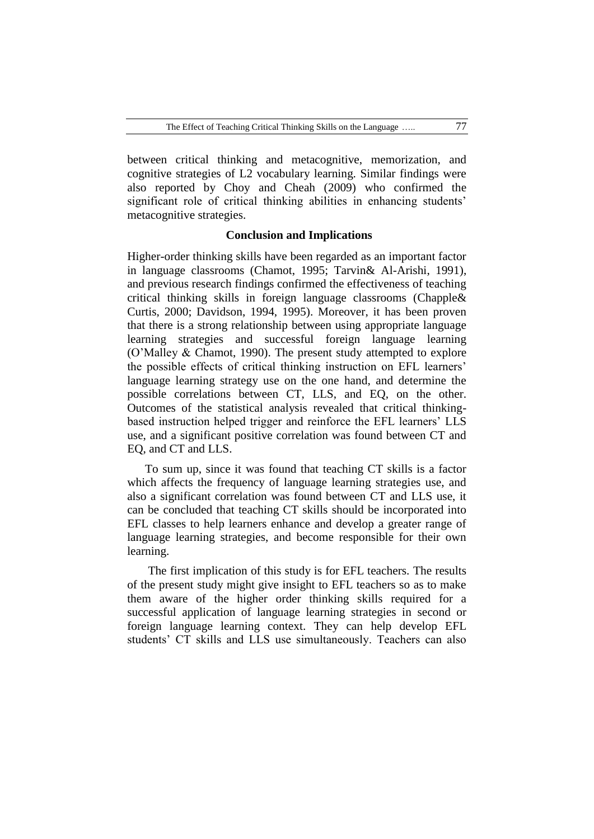between critical thinking and metacognitive, memorization, and cognitive strategies of L2 vocabulary learning. Similar findings were also reported by Choy and Cheah (2009) who confirmed the significant role of critical thinking abilities in enhancing students' metacognitive strategies.

### **Conclusion and Implications**

Higher-order thinking skills have been regarded as an important factor in language classrooms (Chamot, 1995; Tarvin& Al-Arishi, 1991), and previous research findings confirmed the effectiveness of teaching critical thinking skills in foreign language classrooms (Chapple& Curtis, 2000; Davidson, 1994, 1995). Moreover, it has been proven that there is a strong relationship between using appropriate language learning strategies and successful foreign language learning (O'Malley & Chamot, 1990). The present study attempted to explore the possible effects of critical thinking instruction on EFL learners' language learning strategy use on the one hand, and determine the possible correlations between CT, LLS, and EQ, on the other. Outcomes of the statistical analysis revealed that critical thinkingbased instruction helped trigger and reinforce the EFL learners' LLS use, and a significant positive correlation was found between CT and EQ, and CT and LLS.

To sum up, since it was found that teaching CT skills is a factor which affects the frequency of language learning strategies use, and also a significant correlation was found between CT and LLS use, it can be concluded that teaching CT skills should be incorporated into EFL classes to help learners enhance and develop a greater range of language learning strategies, and become responsible for their own learning.

The first implication of this study is for EFL teachers. The results of the present study might give insight to EFL teachers so as to make them aware of the higher order thinking skills required for a successful application of language learning strategies in second or foreign language learning context. They can help develop EFL students' CT skills and LLS use simultaneously. Teachers can also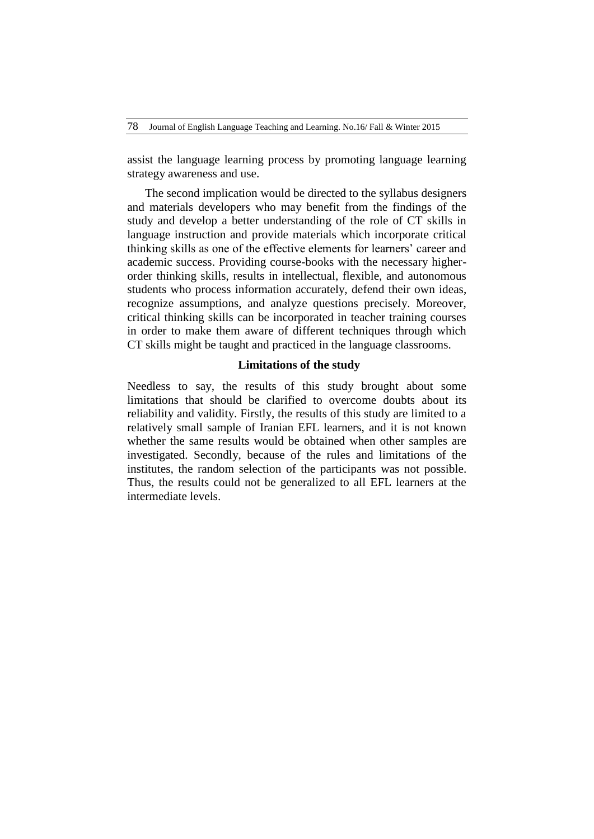assist the language learning process by promoting language learning strategy awareness and use.

The second implication would be directed to the syllabus designers and materials developers who may benefit from the findings of the study and develop a better understanding of the role of CT skills in language instruction and provide materials which incorporate critical thinking skills as one of the effective elements for learners' career and academic success. Providing course-books with the necessary higherorder thinking skills, results in intellectual, flexible, and autonomous students who process information accurately, defend their own ideas, recognize assumptions, and analyze questions precisely. Moreover, critical thinking skills can be incorporated in teacher training courses in order to make them aware of different techniques through which CT skills might be taught and practiced in the language classrooms.

## **Limitations of the study**

Needless to say, the results of this study brought about some limitations that should be clarified to overcome doubts about its reliability and validity. Firstly, the results of this study are limited to a relatively small sample of Iranian EFL learners, and it is not known whether the same results would be obtained when other samples are investigated. Secondly, because of the rules and limitations of the institutes, the random selection of the participants was not possible. Thus, the results could not be generalized to all EFL learners at the intermediate levels.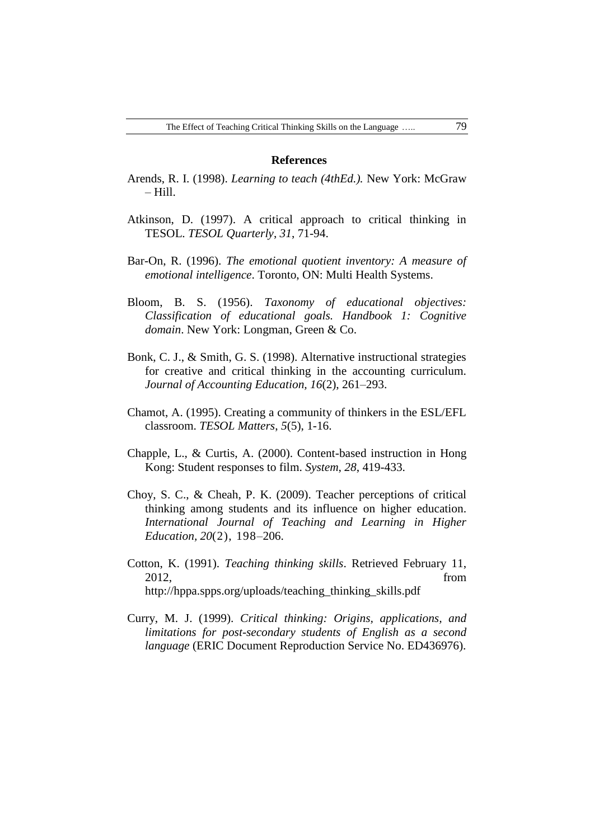#### **References**

- Arends, R. I. (1998). *Learning to teach (4thEd.).* New York: McGraw – Hill.
- Atkinson, D. (1997). A critical approach to critical thinking in TESOL. *TESOL Quarterly*, *31*, 71-94.
- Bar-On, R. (1996). *The emotional quotient inventory: A measure of emotional intelligence*. Toronto, ON: Multi Health Systems.
- Bloom, B. S. (1956). *Taxonomy of educational objectives: Classification of educational goals. Handbook 1: Cognitive domain*. New York: Longman, Green & Co.
- Bonk, C. J., & Smith, G. S. (1998). Alternative instructional strategies for creative and critical thinking in the accounting curriculum. *Journal of Accounting Education, 16*(2), 261–293.
- Chamot, A. (1995). Creating a community of thinkers in the ESL/EFL classroom. *TESOL Matters*, *5*(5), 1-16.
- Chapple, L., & Curtis, A. (2000). Content-based instruction in Hong Kong: Student responses to film. *System*, *28*, 419-433.
- Choy, S. C., & Cheah, P. K. (2009). Teacher perceptions of critical thinking among students and its influence on higher education. *International Journal of Teaching and Learning in Higher Education, 20*(2), 198–206.
- Cotton, K. (1991). *Teaching thinking skills*. Retrieved February 11, 2012, from [http://hppa.spps.org/uploads/teaching\\_thinking\\_skills.pdf](http://hppa.spps.org/uploads/teaching_thinking_skills.pdf)
- Curry, M. J. (1999). *Critical thinking: Origins, applications, and limitations for post-secondary students of English as a second language* (ERIC Document Reproduction Service No. ED436976).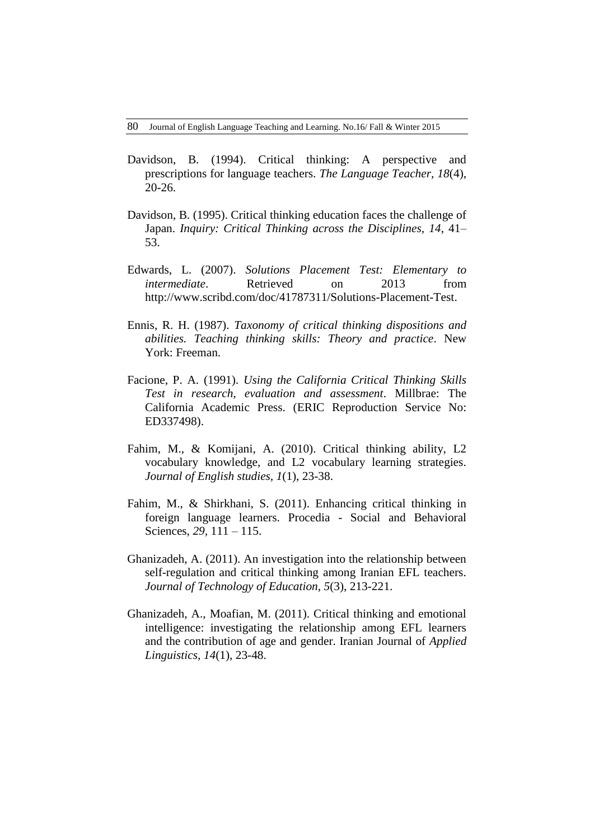- Davidson, B. (1994). Critical thinking: A perspective and prescriptions for language teachers. *The Language Teacher, 18*(4), 20-26.
- Davidson, B. (1995). Critical thinking education faces the challenge of Japan. *Inquiry: Critical Thinking across the Disciplines, 14*, 41– 53.
- Edwards, L. (2007). *Solutions Placement Test: Elementary to intermediate*. Retrieved on 2013 from [http://www.scribd.com/doc/41787311/Solutions-Placement-Test.](http://www.scribd.com/doc/41787311/Solutions-Placement-Test)
- Ennis, R. H. (1987). *Taxonomy of critical thinking dispositions and abilities. Teaching thinking skills: Theory and practice*. New York: Freeman.
- Facione, P. A. (1991). *Using the California Critical Thinking Skills Test in research, evaluation and assessment*. Millbrae: The California Academic Press. (ERIC Reproduction Service No: ED337498).
- Fahim, M., & Komijani, A. (2010). Critical thinking ability, L2 vocabulary knowledge, and L2 vocabulary learning strategies. *Journal of English studies, 1*(1), 23-38.
- Fahim, M., & Shirkhani, S. (2011). Enhancing critical thinking in foreign language learners. Procedia - Social and Behavioral Sciences, *29,* 111 – 115.
- Ghanizadeh, A. (2011). An investigation into the relationship between self-regulation and critical thinking among Iranian EFL teachers. *Journal of Technology of Education*, *5*(3), 213-221.
- Ghanizadeh, A., Moafian, M. (2011). Critical thinking and emotional intelligence: investigating the relationship among EFL learners and the contribution of age and gender. Iranian Journal of *Applied Linguistics, 14*(1), 23-48.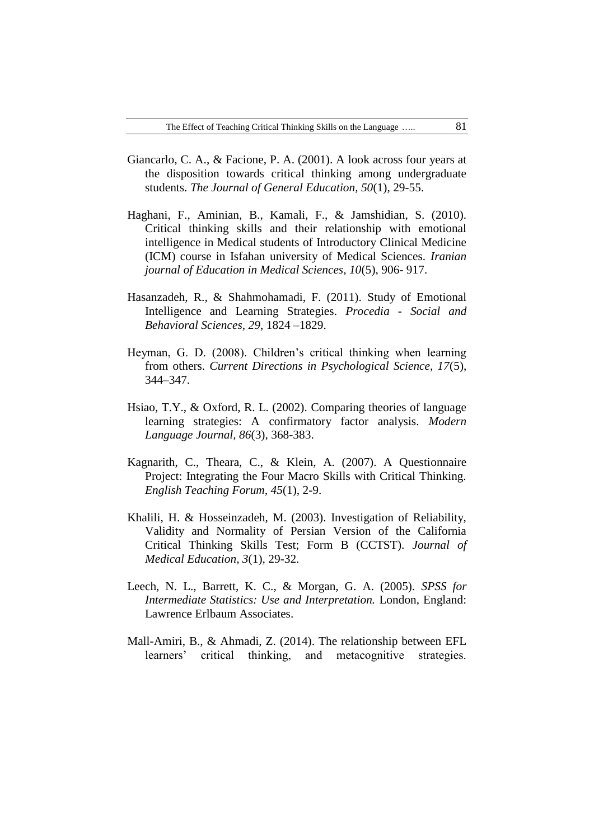- Giancarlo, C. A., & Facione, P. A. (2001). A look across four years at the disposition towards critical thinking among undergraduate students. *The Journal of General Education, 50*(1), 29-55.
- Haghani, F., Aminian, B., Kamali, F., & Jamshidian, S. (2010). Critical thinking skills and their relationship with emotional intelligence in Medical students of Introductory Clinical Medicine (ICM) course in Isfahan university of Medical Sciences. *Iranian journal of Education in Medical Sciences, 10*(5), 906- 917.
- Hasanzadeh, R., & Shahmohamadi, F. (2011). Study of Emotional Intelligence and Learning Strategies. *Procedia - Social and Behavioral Sciences, 29*, 1824 –1829.
- Heyman, G. D. (2008). Children's critical thinking when learning from others. *Current Directions in Psychological Science, 17*(5), 344–347.
- Hsiao, T.Y., & Oxford, R. L. (2002). Comparing theories of language learning strategies: A confirmatory factor analysis. *Modern Language Journal, 86*(3), 368-383.
- Kagnarith, C., Theara, C., & Klein, A. (2007). A Questionnaire Project: Integrating the Four Macro Skills with Critical Thinking. *English Teaching Forum, 45*(1), 2-9.
- Khalili, H. & Hosseinzadeh, M. (2003). Investigation of Reliability, Validity and Normality of Persian Version of the California Critical Thinking Skills Test; Form B (CCTST). *Journal of Medical Education, 3*(1), 29-32.
- Leech, N. L., Barrett, K. C., & Morgan, G. A. (2005). *SPSS for Intermediate Statistics: Use and Interpretation.* London, England: Lawrence Erlbaum Associates.
- Mall-Amiri, B., & Ahmadi, Z. (2014). The relationship between EFL learners' critical thinking, and metacognitive strategies.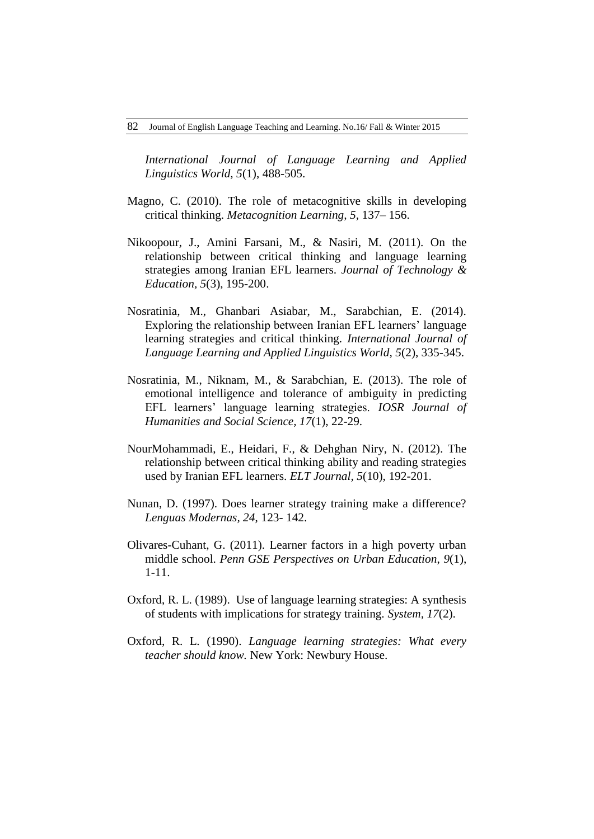*International Journal of Language Learning and Applied Linguistics World, 5*(1), 488-505.

- Magno, C. (2010). The role of metacognitive skills in developing critical thinking. *Metacognition Learning, 5,* 137– 156.
- Nikoopour, J., Amini Farsani, M., & Nasiri, M. (2011). On the relationship between critical thinking and language learning strategies among Iranian EFL learners. *Journal of Technology & Education, 5*(3), 195-200.
- Nosratinia, M., Ghanbari Asiabar, M., Sarabchian, E. (2014). Exploring the relationship between Iranian EFL learners' language learning strategies and critical thinking. *International Journal of Language Learning and Applied Linguistics World, 5*(2), 335-345.
- Nosratinia, M., Niknam, M., & Sarabchian, E. (2013). The role of emotional intelligence and tolerance of ambiguity in predicting EFL learners' language learning strategies. *IOSR Journal of Humanities and Social Science, 17*(1), 22-29.
- NourMohammadi, E., Heidari, F., & Dehghan Niry, N. (2012). The relationship between critical thinking ability and reading strategies used by Iranian EFL learners. *ELT Journal, 5*(10), 192-201.
- Nunan, D. (1997). Does learner strategy training make a difference? *Lenguas Modernas, 24*, 123- 142.
- Olivares-Cuhant, G. (2011). Learner factors in a high poverty urban middle school. *Penn GSE Perspectives on Urban Education*, *9*(1), 1-11.
- Oxford, R. L. (1989). Use of language learning strategies: A synthesis of students with implications for strategy training. *System, 17*(2).
- Oxford, R. L. (1990). *Language learning strategies: What every teacher should know.* New York: Newbury House.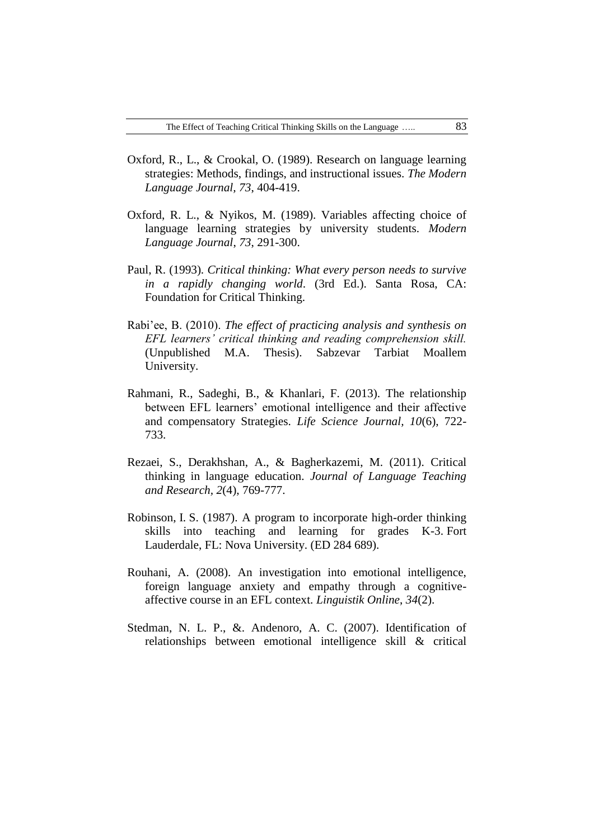- Oxford, R., L., & Crookal, O. (1989). Research on language learning strategies: Methods, findings, and instructional issues. *The Modern Language Journal, 73*, 404-419.
- Oxford, R. L., & Nyikos, M. (1989). Variables affecting choice of language learning strategies by university students. *Modern Language Journal*, *73*, 291-300.
- Paul, R. (1993)*. Critical thinking: What every person needs to survive in a rapidly changing world*. (3rd Ed.). Santa Rosa, CA: Foundation for Critical Thinking.
- Rabi'ee, B. (2010). *The effect of practicing analysis and synthesis on EFL learners' critical thinking and reading comprehension skill.* (Unpublished M.A. Thesis). Sabzevar Tarbiat Moallem University.
- Rahmani, R., Sadeghi, B., & Khanlari, F. (2013). The relationship between EFL learners' emotional intelligence and their affective and compensatory Strategies. *Life Science Journal, 10*(6), 722- 733.
- Rezaei, S., Derakhshan, A., & Bagherkazemi, M. (2011). Critical thinking in language education. *Journal of Language Teaching and Research, 2*(4), 769-777.
- Robinson, I. S. (1987). A program to incorporate high-order thinking skills into teaching and learning for grades K-3. Fort Lauderdale, FL: Nova University. (ED 284 689).
- Rouhani, A. (2008). An investigation into emotional intelligence, foreign language anxiety and empathy through a cognitiveaffective course in an EFL context. *Linguistik Online*, *34*(2).
- Stedman, N. L. P., &. Andenoro, A. C. (2007). Identification of relationships between emotional intelligence skill & critical